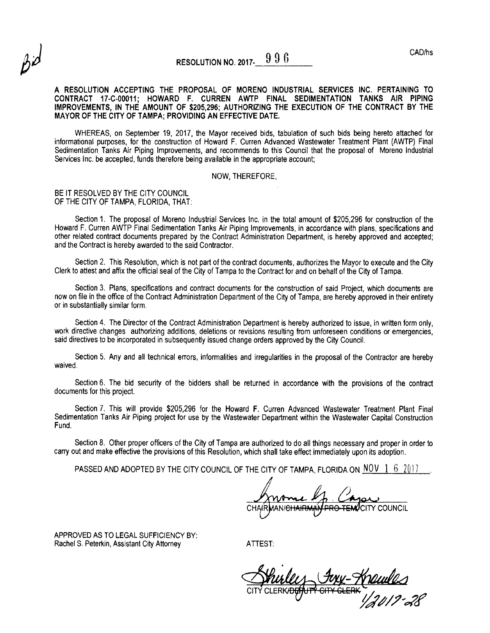# RESOLUTION NO. 2017.  $996$

A RESOLUTION ACCEPTING THE PROPOSAL OF MORENO INDUSTRIAL SERVICES INC. PERTAINING TO CONTRACT 17.C-00011; HOWARD F. CURREN AWTP FINAL SEDIMENTATION TANKS AIR PIPING IMPROVEMENTS, lN THE AMOUNT OF \$205,296; AUTHORIZING THE EXECUTION OF THE CONTRACT BY THE MAYOR OF THE CITY OF TAMPA; PROVIDING AN EFFECTIVE DATE.

WHEREAS, on September 19, 2017, the Mayor received bids, tabulation of such bids being hereto attached for informational purposes, for the construction of Howard F. Curren Advanced Wastewater Treatment Plant (AWTP) Final Sedimentation Tanks Air Piping Improvements, and recommends to this Council that the proposal of Moreno Industrial Services lnc. be accepted, funds therefore being available in the appropriate account;

#### NOW, THEREFORE,

#### BE IT RESOLVED BY THE CITY COUNCIL OF THE CITY OF TAMPA, FLORIDA, THAT:

Section 1. The proposal of Moreno Industrial Services Inc. in the total amount of \$205,296 for construction of the Howard F. Curren AWTP Final Sedimentation Tanks Air Piping Improvements, in accordance with plans, specifications and other related contract documents prepared by the Contract Administration Department, is hereby approved and accepted; and the Contract is hereby awarded to the said Contractor.

Section 2. This Resolution, which is not part of the contract documents, authorizes the Mayor to execute and the City Clerk to attest and affix the official seal of the City of Tampa to the Contract for and on behalf of the City of Tampa.

Section 3. Plans, specifications and contract documents for the construction of said project, which documents are now on file in the office of the Contract Administration Department of the City of Tampa, are hereby approved in their entirety or in substantially similar form.

Section 4. The Director of the Contract Administration Department is hereby authorized to issue, in written form only. work directive changes authorizing additions, deletions or revisions resulting from unforeseen conditions or emergencies. said directives to be incorporated in subsequently issued change orders approved by the City Council.

Section 5. Any and all technical errors, informalities and irregularities in the proposal of the Contractor are hereby waived.

Section 6. The bid security of the bidders shall be returned in accordance with the provisions of the contract documents for this project.

Section 7. This will provide \$205,296 for the Howard F. Curren Advanced Wastewater Treatment Plant Final Sedimentation Tanks Air Piping project for use by the Wastewater Department within the Wastewater Capital Construction Fund.

Section 8. Other proper officers of the City of Tampa are authorized to do all things necessary and proper in order to carry out and make effective the provisions of this Resolution, which shall take effect immediately upon its adoption.

PASSEDAND ADOPTED BY THE CITY COUNCIL OF THE CITY OF TAMPA, FLORIDA ON NOW 162017

<sup>J</sup>CITY COUNCIL

APPROVED AS TO LEGAL SuFFICIENCY BY: Rachel S. Peterkin, Assistant City Attorney

ATTEST:

FULL-HOLUILS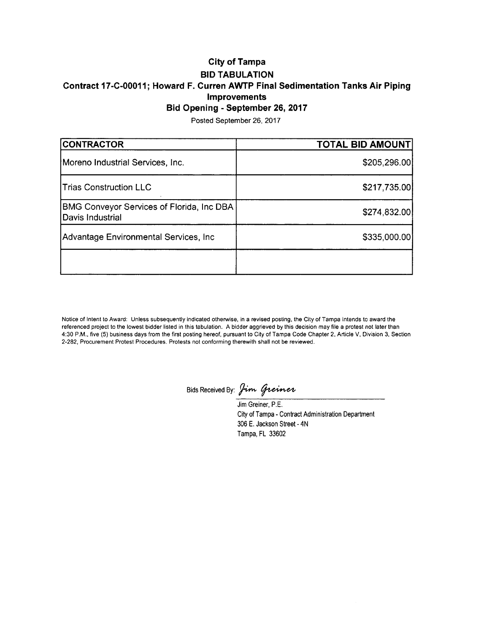## City of Tampa BID TABULATION Contract 17-C-00011; Howard F. Curren AWTP Final Sedimentation Tanks Air Piping Improvements Bid Opening - September 26, 2017

Posted September 26, 2017

| <b>CONTRACTOR</b>                                             | <b>TOTAL BID AMOUNT</b> |
|---------------------------------------------------------------|-------------------------|
| Moreno Industrial Services, Inc.                              | \$205,296.00            |
| <b>Trias Construction LLC</b>                                 | \$217,735.00            |
| BMG Conveyor Services of Florida, Inc DBA<br>Davis Industrial | \$274,832.00            |
| Advantage Environmental Services, Inc.                        | \$335,000.00            |
|                                                               |                         |

Notice of Intent to Award: Unless subsequently indicated otherwise, in a revised posting, the City of Tampa intends to award the referenced project to the lowest bidder listed in this tabulation. A bidder aggrieved by this decision may file a protest not later than 4:30 P.M., five (5) business days from the first posting hereof, pursuant to City of Tampa Code Chapter 2, Article V, Division 3, Section 2-282, Procurement Protest Procedures. Protests not conforming therewith shall not be reviewed.

Bids Received By: Jim Greiner

Jim Greiner, P.E. City of Tampa - Contract Administration Department 306 E. Jackson Street - 4N Tampa, FL 33602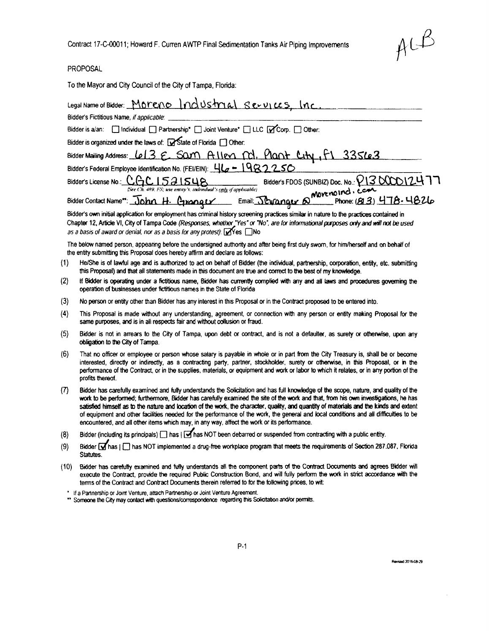$A^{C,\beta}$ 

### PROPOSAL

To the Mayor and City Council of the City of Tampa, Florida:

|      | Legal Name of Bidder: Moreno Industrial Services Inc.                                                                                                                                                                                                                                                                                                          |
|------|----------------------------------------------------------------------------------------------------------------------------------------------------------------------------------------------------------------------------------------------------------------------------------------------------------------------------------------------------------------|
|      | Bidder's Fictitious Name, if applicable:                                                                                                                                                                                                                                                                                                                       |
|      | Bidder is a/an: [ Individual [ ] Partnership* [ ] Joint Venture* [ ] LLC [ ] Corp. [ ] Other:                                                                                                                                                                                                                                                                  |
|      | Bidder is organized under the laws of: State of Florida [ ] Other:                                                                                                                                                                                                                                                                                             |
|      | Bidder Mailing Address: Le13 E. Sam Allen M. Plant Lity, F1 335623                                                                                                                                                                                                                                                                                             |
|      | Bidder's Federal Employee Identification No. (FEUEIN): 46 - 1982256                                                                                                                                                                                                                                                                                            |
|      | Bidder's License No.: CGC 1521548 Sidder's FDOS (SUNBIZ) Doc. No.: $P1300012477$<br>(See Ch. 489, FS; use entity's, individual's only if applicable)                                                                                                                                                                                                           |
|      | Sie Ch. 489. FS; use entity's. individual's <u>only</u> of applicable)<br>Bidder Contact Name <sup>rs</sup> : John H. Cananger Email: Journager & Movemoind. (813) 478. 4826                                                                                                                                                                                   |
|      | Bidder's own initial application for employment has criminal history screening practices similar in nature to the practices contained in<br>Chapter 12, Article VI, City of Tampa Code (Responses, whether "Yes" or "No", are for informational purposes only and will not be used<br>as a basis of award or denial, nor as a basis for any protest): ØYes □No |
|      | The below named person, appearing before the undersigned authority and after being first duly sworn, for him/herself and on behalf of<br>the entity submitting this Proposal does hereby affirm and declare as follows:                                                                                                                                        |
| (1)  | He/She is of lawful age and is authorized to act on behalf of Bidder (the individual, partnership, corporation, entity, etc. submitting<br>this Proposal) and that all statements made in this document are true and correct to the best of my knowledge.                                                                                                      |
| 721. | If Ridder is consection under a fictitious name. Ridder has currently complied with any and all laws and procedures noveming the                                                                                                                                                                                                                               |

- $(2)$ has currently complied with any and all laws and procedures governing the operation of businesses under fictitious names in the State of Florida
- No person or entity other than Bidder has any interest in this Proposal or in the Contract proposed to be entered into.  $(3)$
- $(4)$ This Proposal is made without any understanding, agreement, or connection with any person or entity making Proposal for the same purposes, and is in all respects fair and without collusion or fraud.
- $(5)$ Bidder is not in arrears to the City of Tampa, upon debt or contract, and is not a defaulter, as surety or otherwise, upon any obligation to the City of Tampa.
- $(6)$ That no officer or employee or person whose salary is payable in whole or in part from the City Treasury is, shall be or become interested, directly or indirectly, as a contracting party, partner, stockholder, surety or otherwise, in this Proposal, or in the performance of the Contract, or in the supplies, materials, or equipment and work or labor to which it relates, or in any portion of the profits thereof.
- Bidder has carefully examined and fully understands the Solicitation and has full knowledge of the scope, nature, and quality of the  $(7)$ work to be performed; furthermore, Bidder has carefully examined the site of the work and that, from his own investigations, he has satisfied himself as to the nature and location of the work, the character, quality, and quantity of materials and the kinds and extent of equipment and other facilities needed for the performance of the work, the general and local conditions and all difficulties to be encountered, and all other items which may, in any way, affect the work or its performance.
- Bidder (including its principals) nas | Aas NOT been debarred or suspended from contracting with a public entity.  $(8)$
- Bidder Mhas | Mas NOT implemented a drug-free workplace program that meets the requirements of Section 287.087, Florida  $(9)$ Statutes.
- Bidder has carefully examined and fully understands all the component parts of the Contract Documents and agrees Bidder will  $(10)$ execute the Contract, provide the required Public Construction Bond, and will fully perform the work in strict accordance with the terms of the Contract and Contract Documents therein referred to for the following prices, to wit:

\* If a Partnership or Joint Venture, attach Partnership or Joint Venture Agreement.

\*\* Someone the City may contact with questions/correspondence regarding this Solicitation and/or permits.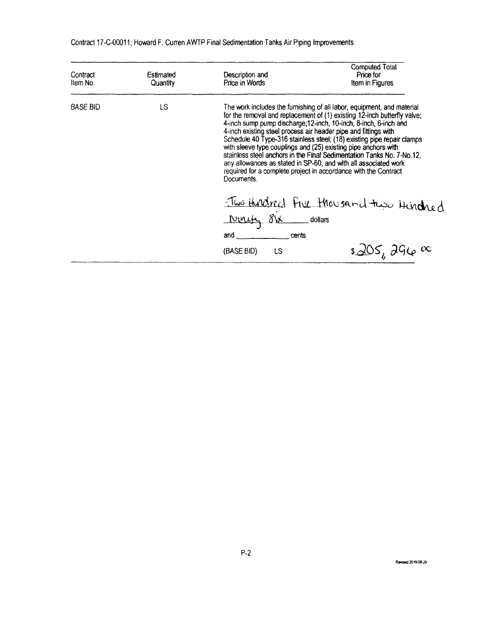| Contract<br>Item No. | Estimated<br>Quantity | Description and<br>Price in Words                                                                                                                                                                                                                           | <b>Computed Total</b><br>Price for<br>Item in Figures                                                                                                                                                                                                                                                                                                                                                                                                                                                                                                                             |
|----------------------|-----------------------|-------------------------------------------------------------------------------------------------------------------------------------------------------------------------------------------------------------------------------------------------------------|-----------------------------------------------------------------------------------------------------------------------------------------------------------------------------------------------------------------------------------------------------------------------------------------------------------------------------------------------------------------------------------------------------------------------------------------------------------------------------------------------------------------------------------------------------------------------------------|
| BASE BID             | LS                    | 4-inch existing steel process air header pipe and fittings with<br>Documents.                                                                                                                                                                               | The work includes the furnishing of all labor, equipment, and material<br>for the removal and replacement of (1) existing 12-inch butterfly valve;<br>4-inch sump pump discharge; 12-inch, 10-inch, 8-inch, 6-inch and<br>Schedule 40 Type-316 stainless steel; (18) existing pipe repair clamps<br>with sleeve type couplings and (25) existing pipe anchors with<br>stainless steel anchors in the Final Sedimentation Tanks No. 7-No.12,<br>any allowances as stated in SP-60, and with all associated work<br>required for a complete project in accordance with the Contract |
|                      |                       | and the contract of the contract of the contract of the contract of the contract of the contract of the contract of the contract of the contract of the contract of the contract of the contract of the contract of the contra<br>cents<br>(BASE BID)<br>LS | Two Hundred Five thousand two Hundred<br>$s\Delta 05$ , 296.00                                                                                                                                                                                                                                                                                                                                                                                                                                                                                                                    |

Contract 17-C-00011; Howard F. Curren AWTP Final Sedimentation Tanks Air Piping Improvements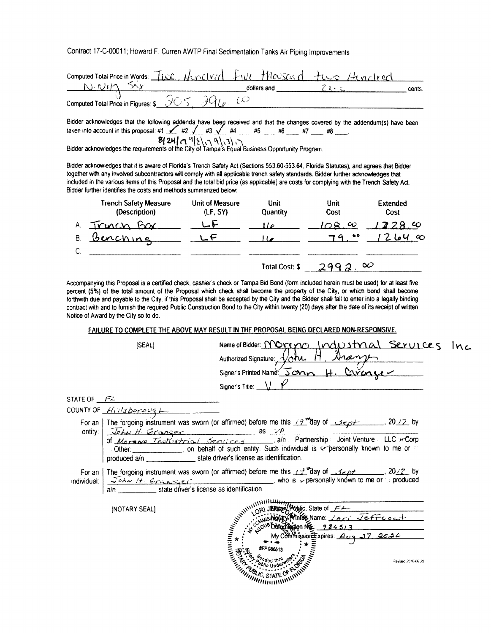Contract 17-C-00011; Howard F. Curren AWTP Final Sedimentation Tanks Air Piping Improvements

| computed Total Price in Words: The Henrifyid five the School + two 14 noticed |  |             |        |
|-------------------------------------------------------------------------------|--|-------------|--------|
|                                                                               |  | dollars and | cents. |
| Computed Total Price in Figures: $s$ 365                                      |  |             |        |

Bidder acknowledges that the following addenda have beep received and that the changes covered by the addendum(s) have been taken into account in this proposal: #1  $\angle$  #2  $\angle$  #3  $\angle$  #4  $\angle$  #5  $\angle$  #5  $\angle$  #7  $\angle$  #8 Bidder acknowledges the requirements of the City of Tampa's Equal Business Opportunity Program.

Bidder acknowledges that it is aware of Florida's Trench Safety Act (Sections 553.60-553.64, Florida Statutes), and agrees that Bidder together with any involved subcontractors will comply with all applicable trench safety standards. Bidder further acknowledges that included in the various items of this Proposal and the total bid price (as applicable) are costs for complying with the Trench Safety Act. Bidder further identifies the costs and methods summarized below:

|    | <b>Trench Safety Measure</b><br>(Description) | Unit of Measure<br>(LF, SY) | Unit<br><b>Quantity</b> | Unit<br>Cost      | <b>Extended</b><br>Cost |
|----|-----------------------------------------------|-----------------------------|-------------------------|-------------------|-------------------------|
| A  | Truch Box                                     |                             | $\overline{2}$          | $^{\prime}O$ 8.00 | 228.00                  |
| B  | Benching                                      |                             |                         | $\bullet$<br>79   | $\infty$<br>2 6 4       |
| C. |                                               |                             |                         |                   |                         |
|    |                                               |                             | <b>Total Cost: \$</b>   |                   | $\infty$                |

Accompanying this Proposal is a certified check, cashier's check or Tampa Bid Bond (form included herein must be used) for at least five percent (5%) of the total amount of the Proposal which check shall become the property of the City, or which bond shall become forthwith due and payable to the City, if this Proposal shall be accepted by the City and the Bidder shall fail to enter into a legally binding contract with and to furnish the required Public Construction Bond to the City within twenty (20) days after the date of its receipt of written Notice of Award by the City so to do.

FAILURE TO COMPLETE THE ABOVE MAY RESULT IN THE PROPOSAL BEING DECLARED NON-RESPONSIVE.

|                 | [SEAL]                                                 | Name of Bidder: NOreno Indu                                                                                                                                                  | strial Services    |  |
|-----------------|--------------------------------------------------------|------------------------------------------------------------------------------------------------------------------------------------------------------------------------------|--------------------|--|
|                 |                                                        |                                                                                                                                                                              |                    |  |
|                 |                                                        | Authorized Signature: <i>John H. Dramp</i>                                                                                                                                   |                    |  |
|                 |                                                        | Signer's Title: $\_\vee$ , $\mathcal V$                                                                                                                                      |                    |  |
| STATE OF $FZ$   |                                                        |                                                                                                                                                                              |                    |  |
|                 | COUNTY OF $H_{11/3}$ borough                           |                                                                                                                                                                              |                    |  |
| entity: $\vert$ | $JohuHGranses$ as $VP$                                 | For an   The forgoing instrument was sworn (or affirmed) before me this / 9 May of 1972 of                                                                                   |                    |  |
|                 | produced a/n state driver's license as identification. | of Margare Instruction Services and Partnership: Joint Venture LLC 4Corp                                                                                                     |                    |  |
| individual.     | a/n state driver's license as identification.          | For an The forgoing instrument was sworn (or affirmed) before me this $19^{4}$ day of $32p$ by lividual: $\frac{\sqrt{6}}{2}$ by lividual: $\frac{\sqrt{6}}{2}$ by lividual: |                    |  |
|                 | [NOTARY SEAL]                                          | WWW.URU.URIANS.State of FL<br>LORI JEROGRY Printer Name: Lori Jeffeoct<br>ANUMINING WAS<br>world Commission Rection 3                                                        |                    |  |
|                 |                                                        | #FF 986613<br><b>MANUS STATE</b>                                                                                                                                             | Revised 2016-06-29 |  |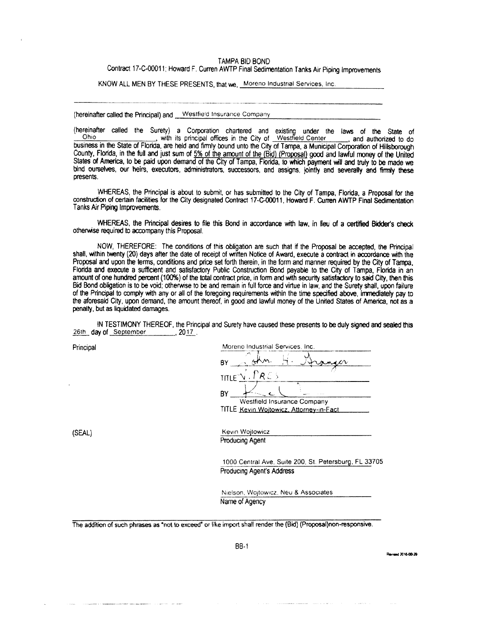#### TAMPA BID BOND

Contract 17-C-00011; Howard F. Curren AWTP Final Sedimentation Tanks Air Piping Improvements

KNOW ALL MEN BY THESE PRESENTS, that we, Moreno Industrial Services, Inc.

(hereinafter called the Principal) and \_\_Westfield Insurance Company

Ohio Chine Manufacture with its principal offices in the City of Westfield Center (and authorized to do business in the State of Florida, are held and firmly bound unto the City of Tampa, a Municipal Corporation of Hillsbo County, Florida, in the full and just sum of 5% of the amount of the (Bid) (Proposal) good and lawful money of the United States of America, to be paid upon demand of the City of Tampa, Florida, to which payment will and truly to be made we bind ourselves, our heirs, executors, administrators, successors, and assigns, jointly and severally and firmly these presents.

WHEREAS, the Principal is about to submit, or has submitted to the City of Tampa, Florida, a Proposal for the construction of certain facilities for the City designated Contract 17-C-00011, Howard F. Curren AWTP Final Sedimentation Tanks Air Piping Improvements.

WHEREAS, the Principal desires to file this Bond in accordance with law, in lieu of a certified Bidder's check otherwise required to accompany this Proposal.

NOW, THEREFORE: The conditions of this obligation are such that if the Proposal be accepted, the Principal shall, within twenty (20) days after the date of receipt of written Notice of Award, execute a contract in accordance with the Proposal and upon the terms, conditions and price set forth therein, in the form and manner required by the City of Tampa. Florida and execute a sufficient and satisfactory Public Construction Bond payable to the City of Tampa. Florida in an amount of one hundred percent (100%) of the total contract price, in form and with security satisfactory to said City, then this Bid Bond obligation is to be void; otherwise to be and remain in full force and virtue in law, and the Surety shall, upon failure of the Principal to comply with any or all of the foregoing requirements within the time specified above, immediately pay to the aforesaid City, upon demand, the amount thereof, in good and lawful money of the United States of America, not as a penalty, but as liquidated damages.

IN TESTIMONY THEREOF, the Principal and Surety have caused these presents to be duly signed and sealed this 26th day of September 2017.

Principal

| B١                   |  |
|----------------------|--|
| RC 5<br><b>TITLE</b> |  |
| R١                   |  |

(SEAL)

Kevin Wojtowicz Producing Agent

1000 Central Ave, Suite 200, St. Petersburg, FL 33705 **Producing Agent's Address** 

Nielson, Wojtowicz, Neu & Associates Name of Agency

The addition of such phrases as "not to exceed" or like import shall render the (Bid) (Proposal)non-responsive.

**BB-1** 

and 2016-08-29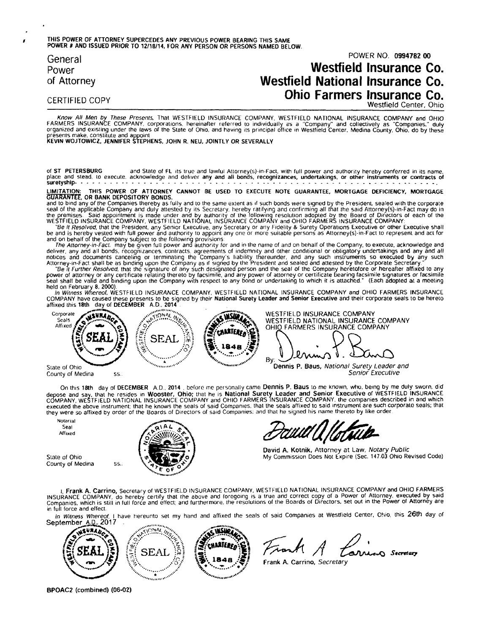#### THIS POWER OF ATTORNEY SUPERCEDES ANY PREVIOUS POWER BEARING THIS SAME POWER # AND ISSUED PRIOR TO 12/18/14, FOR ANY PERSON OR PERSONS NAMED BELOW.

General Power of Attorney

## POWER NO. 0994782 00 **Westfield Insurance Co. Westfield National Insurance Co.** Ohio Farmers Insurance Co.

**CERTIFIED COPY** 

Westfield Center, Ohio

Know All Men by These Presents, That WESTFIELD INSURANCE COMPANY, WESTFIELD NATIONAL INSURANCE COMPANY and OHIO<br>FARMERS INSURANCE COMPANY, corporations, hereinafter referred to individually as a "Company" and collectively presents make, constitute and appoint<br>KEVIN WOJTOWICZ, JENNIFER STEPHENS, JOHN R. NEU, JOINTLY OR SEVERALLY

of ST PETERSBURG and State of FL its true and lawful Attorney(s)-in-Fact, with full power and authority hereby conferred in its name, place and stead, to execute, acknowledge and deliver any and all bonds, recognizances, undertakings, or other instruments or contracts of suretyship- . . . .

LIMITATION: THIS POWER OF ATTORNEY CANNOT BE USED TO EXECUTE NOTE GUARANTEE, MORTGAGE DEFICIENCY, MORTGAGE<br>GUARANTEE, OR BANK DEPOSITORY BONDS.

**GUARANTEE, OR BANK DEPOSITORY BONDS.**<br>Secretary, hereby as if such bonds were signed by the President, sealed with the corporate<br>and to bind any of the Company and duly and to the same extent as if such bonds were signed

The Attorney-in-Fact. may be given full power and authority for and in the name of and on behalf of the Company, to execute, acknowledge and<br>deliver, any and all bonds, recognizances, contracts, agreements of indemnity and

Search and the United States (Company will respect to any bond of undertaking to which it is attacked. (Least adopted at a meding<br>The Witness Whereof, WESTFIELD INSURANCE COMPANY, WESTFIELD NATIONAL INSURANCE COMPANY and O



County of Medina

On this 18th day of DECEMBER A.D., 2014, before me personally came Dennis P. Baus to me known, who, being by me duly sworn, did depose and say, that he resides in Wooster, Ohio; that he is National Surety Leader and Senior

Notarial Seat Affixed

State of Ohio County of Medina

SS.



David A. Kotnik, Attorney at Law, Notary Public My Commission Does Not Expire (Sec. 147.03 Ohio Revised Code)

I. Frank A. Carrino, Secretary of WESTFIELD INSURANCE COMPANY, WESTFIELD NATIONAL INSURANCE COMPANY and OHIO FARMERS INSURANCE COMPANY, JOURNAL SECTION OF THE RESOLUTION OF THE RESOLUTION OF THE RELEASE OF ALLOCATED OF ALLOCATED AND THE RESOLUTION OF THE RELEASE OF THE RELEASE OF THE RELEASE OF THE RELEASE OF THE RELEASE OF THE RELEASE O in full force and effect.

In Witness Whereof, I have hereunto set my hand and affixed the seals of said Companies at Westfield Center, Ohio, this 26th day of September A.D., 2017



Frank A **Arnew Secretary** 

Frank A. Carrino, Secretary

BPOAC2 (combined) (06-02)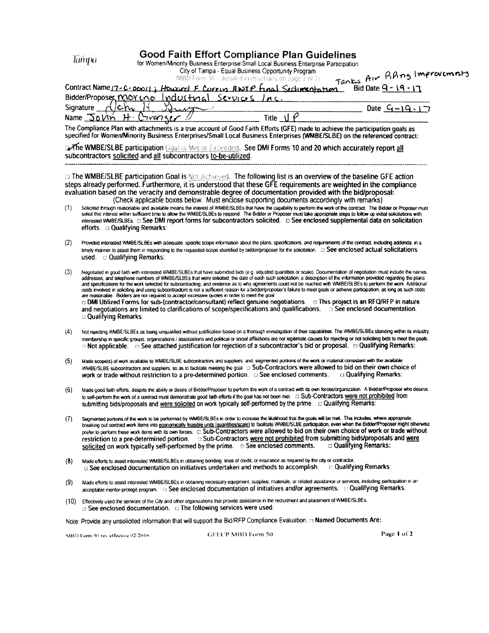**Good Faith Effort Compliance Plan Guidelines** for Wom

|  |  |  | en/Minority Business Enterprise\Small Local Business Enterprise Participation |
|--|--|--|-------------------------------------------------------------------------------|
|  |  |  |                                                                               |

City of Tamoa - Equal Business Opportunity Program

|     | er rompa – Equardomicos Opportom; riogram<br>Tanks Air Khing Improvements<br>(MBD Form 50 - detailed instructions on page 2 of 2).                                                                                                                                                                                                                                                                                                                                                                                                                                                                                                                                                                                                                                                                                                                                                                                                                                                                                                                                                                 |
|-----|----------------------------------------------------------------------------------------------------------------------------------------------------------------------------------------------------------------------------------------------------------------------------------------------------------------------------------------------------------------------------------------------------------------------------------------------------------------------------------------------------------------------------------------------------------------------------------------------------------------------------------------------------------------------------------------------------------------------------------------------------------------------------------------------------------------------------------------------------------------------------------------------------------------------------------------------------------------------------------------------------------------------------------------------------------------------------------------------------|
|     | Contract Name 17-C-06011; Howard F. Curring ANTP Final Sectionships non<br>Bid Date $9 - 19 - 17$                                                                                                                                                                                                                                                                                                                                                                                                                                                                                                                                                                                                                                                                                                                                                                                                                                                                                                                                                                                                  |
|     | Bidder/Proposer MOY LNO<br>Industrial<br>Services                                                                                                                                                                                                                                                                                                                                                                                                                                                                                                                                                                                                                                                                                                                                                                                                                                                                                                                                                                                                                                                  |
|     | $\lambda$<br>Signature<br>Date $9 - 19 - 17$                                                                                                                                                                                                                                                                                                                                                                                                                                                                                                                                                                                                                                                                                                                                                                                                                                                                                                                                                                                                                                                       |
|     | $\varrho$<br>Title $\mathbf{U}$<br>$Name$ $DoVm$<br>Corange                                                                                                                                                                                                                                                                                                                                                                                                                                                                                                                                                                                                                                                                                                                                                                                                                                                                                                                                                                                                                                        |
|     | The Compliance Plan with attachments is a true account of Good Faith Efforts (GFE) made to achieve the participation goals as<br>specified for Women/Minority Business Enterprises/Small Local Business Enterprises (WMBE/SLBE) on the referenced contract:                                                                                                                                                                                                                                                                                                                                                                                                                                                                                                                                                                                                                                                                                                                                                                                                                                        |
|     | a The WMBE/SLBE participation Goal is Met or Exceeded. See DMI Forms 10 and 20 which accurately report all<br>subcontractors solicited and all subcontractors to-be-utilized.                                                                                                                                                                                                                                                                                                                                                                                                                                                                                                                                                                                                                                                                                                                                                                                                                                                                                                                      |
|     | <b>D</b> The WMBE/SLBE participation Goal is Not Achieved. The following list is an overview of the baseline GFE action<br>steps already performed. Furthermore, it is understood that these GFE requirements are weighted in the compliance<br>evaluation based on the veracity and demonstrable degree of documentation provided with the bid/proposal:<br>(Check applicable boxes below. Must enclose supporting documents accordingly with remarks)                                                                                                                                                                                                                                                                                                                                                                                                                                                                                                                                                                                                                                            |
| (1) | Solicited through reasonable and available means the interest of WMBE/SLBEs that have the capability to perform the work of the contract. The Bidder or Proposer must<br>solicit this interest within sufficient time to allow the WMBE/SLBEs to respond. The Bidder or Proposer must take appropriate steps to follow up initial solicitations with<br>efforts. $\Box$ Qualifying Remarks:                                                                                                                                                                                                                                                                                                                                                                                                                                                                                                                                                                                                                                                                                                        |
| (2) | Provided interested WMBE/SLBEs with adequate, specific scope information about the plans, specifications, and requirements of the contract, including addenda, in a<br>used. <b>D</b> Qualifying Remarks:                                                                                                                                                                                                                                                                                                                                                                                                                                                                                                                                                                                                                                                                                                                                                                                                                                                                                          |
| (3) | Negotiated in good faith with interested WMBE/SLBEs that have submitted bids (e.g. adjusted quantities or scale). Documentation of negotiation must include the names.<br>addresses, and telephone numbers of WMBE/SLBEs that were solicited; the date of each such solicitation; a description of the information provided regarding the plans<br>and specifications for the work selected for subcontracting; and evidence as to why agreements could not be reached with WMBE/SLBEs to perform the work. Additional<br>costs involved in soliciting and using subcontractors is not a sufficient reason for a bidder/proposer's failure to meet goals or achieve participation, as long as such costs<br>are reasonable. Bidders are not required to accept excessive quotes in order to meet the goal<br>a DMI Utilized Forms for sub-(contractor/consultant) reflect genuine negotiations and This project is an RFQ/RFP in nature<br>and negotiations are limited to clarifications of scope/specifications and qualifications. is See enclosed documentation.<br><b>Qualifying Remarks:</b> |
| (4) | Not rejecting WMBE/SLBEs as being unqualified without justification based on a thorough investigation of their capabilities. The WMBE/SLBEs standing within its industry,<br>membership in specific groups, organizations / associations and political or social affiliations are not legitimate causes for rejecting or not soliciting bids to meet the goals.<br>n Not applicable. In See attached justification for rejection of a subcontractor's bid or proposal. In Qualifying Remarks:                                                                                                                                                                                                                                                                                                                                                                                                                                                                                                                                                                                                      |
| (5) | Made scope(s) of work available to WMBE/SLBE subcontractors and suppliers; and, segmented portions of the work or material consistent with the available<br>WMBE/SLBE subcontractors and suppliers, so as to facilitate meeting the goal [1] Sub-Contractors were allowed to bid on their own choice of<br>work or trade without restriction to a pre-determined portion. $\Box$ See enclosed comments. $\Box$ Qualifying Remarks:                                                                                                                                                                                                                                                                                                                                                                                                                                                                                                                                                                                                                                                                 |
| (6) | Made good faith efforts, despite the ability or desire of Bidder/Proposer to perform the work of a contract with its own forces/organization. A Bidder/Proposer who desires<br>to self-perform the work of a contract must demonstrate good faith efforts if the goal has not been met. [1] Sub-Contractors were not prohibited from<br>submitting bids/proposals and were solicited on work typically self-performed by the prime. Dualifying Remarks:                                                                                                                                                                                                                                                                                                                                                                                                                                                                                                                                                                                                                                            |
| (7) | Segmented portions of the work to be performed by WMBE/SLBEs in order to increase the likelihood that the goals will be met. This includes, where appropriate,<br>kranking and contract work items into aconomically forgother units (orgothiae/scale) in facilitate WMRF/SI RF nathcination, even when the Birkter/Proposer might otherwise                                                                                                                                                                                                                                                                                                                                                                                                                                                                                                                                                                                                                                                                                                                                                       |

- breaking out contract work items into <u>economically teasible units (quantities/scale)</u> to facilitate WMBE/SLBE participation, even when the Bidder/Proposer might otherwise<br>prefer to perform these work items with its own fo solicited on work typically self-performed by the prime. 
see enclosed comments. □ Qualifying Remarks:
- Made efforts to assist interested WMBE/SLBEs in obtaining bonding, lines of credit, or insurance as required by the city or contractor  $(8)$ G See enclosed documentation on initiatives undertaken and methods to accomplish. [16] Qualifying Remarks:
- Made efforts to assist interested WMBE/SLBEs in obtaining necessary equipment, supplies, materials, or related assistance or services, including participation in an  $(9)$
- (10) Effectively used the services of the City and other organizations that provide assistance in the recruitment and placement of WMBE/SLBEs. D See enclosed documentation. In The following services were used.

Note: Provide any unsolicited information that will support the Bid/RFP Compliance Evaluation. n Named Documents Are:

MBD Form 50 rev effective 02/2016

Tanyxi

**GFECP MBD Form 50** 

Page 1 of 2

 $\bullet$ 

and the

 $\sim 10^{-1}$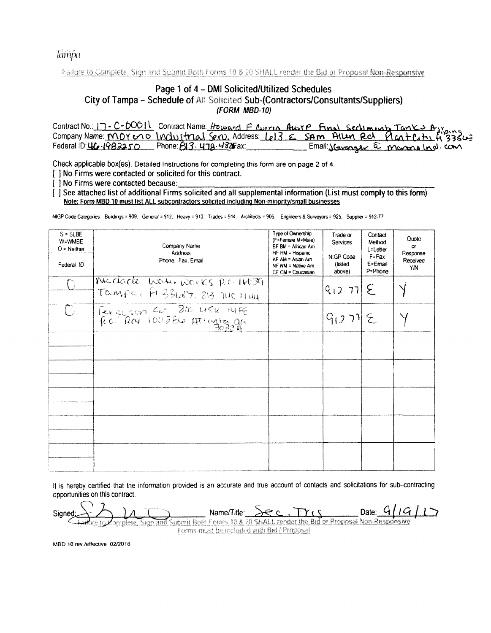Tampa

Failure to Complete, Sign and Submit Both Forms 30 & 20 SHALL render the Bid or Proposal Non-Responsive

### Page 1 of 4 - DMI Solicited/Utilized Schedules City of Tampa - Schedule of All Solicited Sub-(Contractors/Consultants/Suppliers) (FORM MBD-10)

|                                                                                    | Contract No.: 17 - C-60011 Contract Name: Howard F Curris Aws P Final Section unt Tanks A, young |
|------------------------------------------------------------------------------------|--------------------------------------------------------------------------------------------------|
|                                                                                    |                                                                                                  |
| Federal ID: $\underline{UC}$ - $1982250$ Phone: $B13$ - $\underline{U}79.4825$ ax: | Email: <u>Storanger</u> a mornalnd.com                                                           |

Check applicable box(es). Detailed Instructions for completing this form are on page 2 of 4.

[ ] No Firms were contacted or solicited for this contract.

[ ] No Firms were contacted because:

[ ] See attached list of additional Firms solicited and all supplemental information (List must comply to this form) Note: Form MBD-10 must list ALL subcontractors solicited including Non-minority/small businesses

NIGP Code Categories: Buildings = 909, General = 912, Heavy = 913, Trades = 914, Architects = 906, Engineers & Surveyors = 925, Supplier = 912-77

| $S = SLBE$<br>W=WMBE<br>$O =$ Neither<br>Federal ID | Company Name<br><b>Address</b><br>Phone, Fax, Email             | Type of Ownership<br>(F=Female M=Male)<br>BF BM = African Am.<br>HF HM = Hispanic<br>AF AM = Asian Am.<br>NF NM = Native Am.<br>CF CM = Caucasian | Trade or<br>Services<br>NIGP Code<br>(listed<br>above) | Contact<br>Method<br>L=Letter<br>$F = Fax$<br>E=Email<br>P=Phone | Quote<br>$\alpha$<br>Response<br>Received<br>YN |
|-----------------------------------------------------|-----------------------------------------------------------------|---------------------------------------------------------------------------------------------------------------------------------------------------|--------------------------------------------------------|------------------------------------------------------------------|-------------------------------------------------|
|                                                     | Micclacle have nones pc. 14039<br>Tampa, F1 33687, 813 140 1144 |                                                                                                                                                   | $ q_{12}$ 77 $ E $                                     |                                                                  |                                                 |
|                                                     | Personson Co 30 45k 14FB                                        |                                                                                                                                                   | $G(27) \leq$                                           |                                                                  |                                                 |
|                                                     |                                                                 |                                                                                                                                                   |                                                        |                                                                  |                                                 |
|                                                     |                                                                 |                                                                                                                                                   |                                                        |                                                                  |                                                 |
|                                                     |                                                                 |                                                                                                                                                   |                                                        |                                                                  |                                                 |
|                                                     |                                                                 |                                                                                                                                                   |                                                        |                                                                  |                                                 |
|                                                     |                                                                 |                                                                                                                                                   |                                                        |                                                                  |                                                 |

It is hereby certified that the information provided is an accurate and true account of contacts and solicitations for sub-contracting opportunities on this contract.

Date:  $4/19/17$ Name/Title:  $\lambda$ ec Signed Sign and Submit Both Forms 10 & 20 SHALL render the Bid or Proposal Non-Responsive omplete, Forms must be included with Bid / Proposal

MBD 10 rev./effective 02/2016